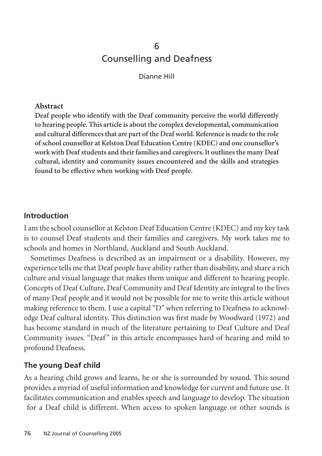# 6 Counselling and Deafness

Dianne Hill

#### **Abstract**

**Deaf people who identify with the Deaf community perceive the world differently to hearing people. This article is about the complex developmental, communication and cultural differences that are part of the Deaf world. Reference is made to the role of school counsellor at Kelston Deaf Education Centre (KDEC) and one counsellor's work with Deaf students and their families and caregivers. It outlines the many Deaf cultural, identity and community issues encountered and the skills and strategies found to be effective when working with Deaf people.**

### **Introduction**

I am the school counsellor at Kelston Deaf Education Centre (KDEC) and my key task is to counsel Deaf students and their families and caregivers. My work takes me to schools and homes in Northland, Auckland and South Auckland.

Sometimes Deafness is described as an impairment or a disability. However, my experience tells me that Deaf people have ability rather than disability, and share a rich culture and visual language that makes them unique and different to hearing people. Concepts of Deaf Culture, Deaf Community and Deaf Identity are integral to the lives of many Deaf people and it would not be possible for me to write this article without making reference to them. I use a capital "D" when referring to Deafness to acknowledge Deaf cultural identity. This distinction was first made by Woodward (1972) and has become standard in much of the literature pertaining to Deaf Culture and Deaf Community issues. "Deaf" in this article encompasses hard of hearing and mild to profound Deafness.

### **The young Deaf child**

As a hearing child grows and learns, he or she is surrounded by sound. This sound provides a myriad of useful information and knowledge for current and future use. It facilitates communication and enables speech and language to develop. The situation for a Deaf child is different. When access to spoken language or other sounds is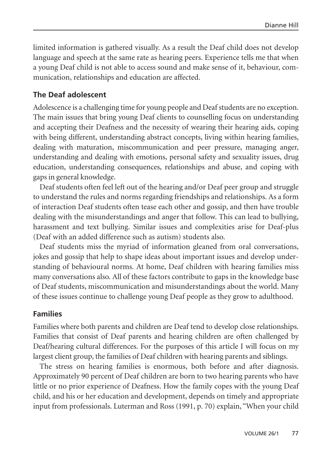limited information is gathered visually. As a result the Deaf child does not develop language and speech at the same rate as hearing peers. Experience tells me that when a young Deaf child is not able to access sound and make sense of it, behaviour, communication, relationships and education are affected.

#### **The Deaf adolescent**

Adolescence is a challenging time for young people and Deaf students are no exception. The main issues that bring young Deaf clients to counselling focus on understanding and accepting their Deafness and the necessity of wearing their hearing aids, coping with being different, understanding abstract concepts, living within hearing families, dealing with maturation, miscommunication and peer pressure, managing anger, understanding and dealing with emotions, personal safety and sexuality issues, drug education, understanding consequences, relationships and abuse, and coping with gaps in general knowledge.

Deaf students often feel left out of the hearing and/or Deaf peer group and struggle to understand the rules and norms regarding friendships and relationships. As a form of interaction Deaf students often tease each other and gossip, and then have trouble dealing with the misunderstandings and anger that follow. This can lead to bullying, harassment and text bullying. Similar issues and complexities arise for Deaf-plus (Deaf with an added difference such as autism) students also.

Deaf students miss the myriad of information gleaned from oral conversations, jokes and gossip that help to shape ideas about important issues and develop understanding of behavioural norms. At home, Deaf children with hearing families miss many conversations also. All of these factors contribute to gaps in the knowledge base of Deaf students, miscommunication and misunderstandings about the world. Many of these issues continue to challenge young Deaf people as they grow to adulthood.

#### **Families**

Families where both parents and children are Deaf tend to develop close relationships. Families that consist of Deaf parents and hearing children are often challenged by Deaf/hearing cultural differences. For the purposes of this article I will focus on my largest client group, the families of Deaf children with hearing parents and siblings.

The stress on hearing families is enormous, both before and after diagnosis. Approximately 90 percent of Deaf children are born to two hearing parents who have little or no prior experience of Deafness. How the family copes with the young Deaf child, and his or her education and development, depends on timely and appropriate input from professionals. Luterman and Ross (1991, p. 70) explain, "When your child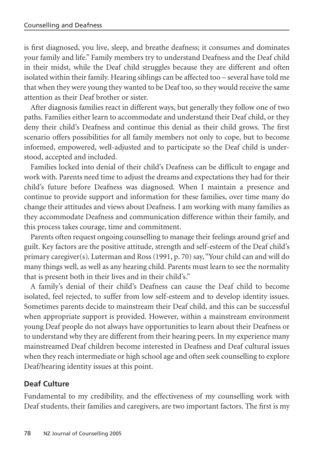is first diagnosed, you live, sleep, and breathe deafness; it consumes and dominates your family and life." Family members try to understand Deafness and the Deaf child in their midst, while the Deaf child struggles because they are different and often isolated within their family. Hearing siblings can be affected too – several have told me that when they were young they wanted to be Deaf too, so they would receive the same attention as their Deaf brother or sister.

After diagnosis families react in different ways, but generally they follow one of two paths. Families either learn to accommodate and understand their Deaf child, or they deny their child's Deafness and continue this denial as their child grows. The first scenario offers possibilities for all family members not only to cope, but to become informed, empowered, well-adjusted and to participate so the Deaf child is understood, accepted and included.

Families locked into denial of their child's Deafness can be difficult to engage and work with. Parents need time to adjust the dreams and expectations they had for their child's future before Deafness was diagnosed. When I maintain a presence and continue to provide support and information for these families, over time many do change their attitudes and views about Deafness. I am working with many families as they accommodate Deafness and communication difference within their family, and this process takes courage, time and commitment.

Parents often request ongoing counselling to manage their feelings around grief and guilt. Key factors are the positive attitude, strength and self-esteem of the Deaf child's primary caregiver(s). Luterman and Ross (1991, p. 70) say, "Your child can and will do many things well, as well as any hearing child. Parents must learn to see the normality that is present both in their lives and in their child's."

A family's denial of their child's Deafness can cause the Deaf child to become isolated, feel rejected, to suffer from low self-esteem and to develop identity issues. Sometimes parents decide to mainstream their Deaf child, and this can be successful when appropriate support is provided. However, within a mainstream environment young Deaf people do not always have opportunities to learn about their Deafness or to understand why they are different from their hearing peers. In my experience many mainstreamed Deaf children become interested in Deafness and Deaf cultural issues when they reach intermediate or high school age and often seek counselling to explore Deaf/hearing identity issues at this point.

# **Deaf Culture**

Fundamental to my credibility, and the effectiveness of my counselling work with Deaf students, their families and caregivers, are two important factors. The first is my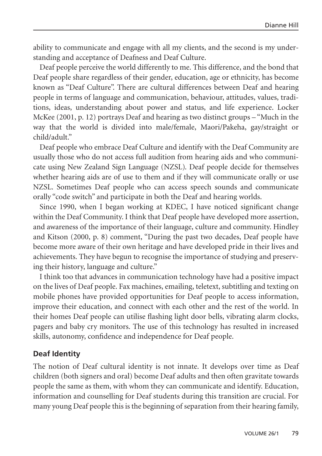ability to communicate and engage with all my clients, and the second is my understanding and acceptance of Deafness and Deaf Culture.

Deaf people perceive the world differently to me. This difference, and the bond that Deaf people share regardless of their gender, education, age or ethnicity, has become known as "Deaf Culture". There are cultural differences between Deaf and hearing people in terms of language and communication, behaviour, attitudes, values, traditions, ideas, understanding about power and status, and life experience. Locker McKee (2001, p. 12) portrays Deaf and hearing as two distinct groups – "Much in the way that the world is divided into male/female, Maori/Pakeha, gay/straight or child/adult."

Deaf people who embrace Deaf Culture and identify with the Deaf Community are usually those who do not access full audition from hearing aids and who communicate using New Zealand Sign Language (NZSL). Deaf people decide for themselves whether hearing aids are of use to them and if they will communicate orally or use NZSL. Sometimes Deaf people who can access speech sounds and communicate orally "code switch" and participate in both the Deaf and hearing worlds.

Since 1990, when I began working at KDEC, I have noticed significant change within the Deaf Community. I think that Deaf people have developed more assertion, and awareness of the importance of their language, culture and community. Hindley and Kitson (2000, p. 8) comment, "During the past two decades, Deaf people have become more aware of their own heritage and have developed pride in their lives and achievements. They have begun to recognise the importance of studying and preserving their history, language and culture."

I think too that advances in communication technology have had a positive impact on the lives of Deaf people. Fax machines, emailing, teletext, subtitling and texting on mobile phones have provided opportunities for Deaf people to access information, improve their education, and connect with each other and the rest of the world. In their homes Deaf people can utilise flashing light door bells, vibrating alarm clocks, pagers and baby cry monitors. The use of this technology has resulted in increased skills, autonomy, confidence and independence for Deaf people.

#### **Deaf Identity**

The notion of Deaf cultural identity is not innate. It develops over time as Deaf children (both signers and oral) become Deaf adults and then often gravitate towards people the same as them, with whom they can communicate and identify. Education, information and counselling for Deaf students during this transition are crucial. For many young Deaf people this is the beginning of separation from their hearing family,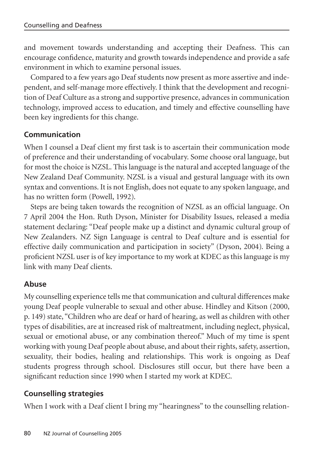and movement towards understanding and accepting their Deafness. This can encourage confidence, maturity and growth towards independence and provide a safe environment in which to examine personal issues.

Compared to a few years ago Deaf students now present as more assertive and independent, and self-manage more effectively. I think that the development and recognition of Deaf Culture as a strong and supportive presence, advances in communication technology, improved access to education, and timely and effective counselling have been key ingredients for this change.

# **Communication**

When I counsel a Deaf client my first task is to ascertain their communication mode of preference and their understanding of vocabulary. Some choose oral language, but for most the choice is NZSL. This language is the natural and accepted language of the New Zealand Deaf Community. NZSL is a visual and gestural language with its own syntax and conventions. It is not English, does not equate to any spoken language, and has no written form (Powell, 1992).

Steps are being taken towards the recognition of NZSL as an official language. On 7 April 2004 the Hon. Ruth Dyson, Minister for Disability Issues, released a media statement declaring: "Deaf people make up a distinct and dynamic cultural group of New Zealanders. NZ Sign Language is central to Deaf culture and is essential for effective daily communication and participation in society" (Dyson, 2004). Being a proficient NZSL user is of key importance to my work at KDEC as this language is my link with many Deaf clients.

# **Abuse**

My counselling experience tells me that communication and cultural differences make young Deaf people vulnerable to sexual and other abuse. Hindley and Kitson (2000, p. 149) state, "Children who are deaf or hard of hearing, as well as children with other types of disabilities, are at increased risk of maltreatment, including neglect, physical, sexual or emotional abuse, or any combination thereof." Much of my time is spent working with young Deaf people about abuse, and about their rights, safety, assertion, sexuality, their bodies, healing and relationships. This work is ongoing as Deaf students progress through school. Disclosures still occur, but there have been a significant reduction since 1990 when I started my work at KDEC.

# **Counselling strategies**

When I work with a Deaf client I bring my "hearingness" to the counselling relation-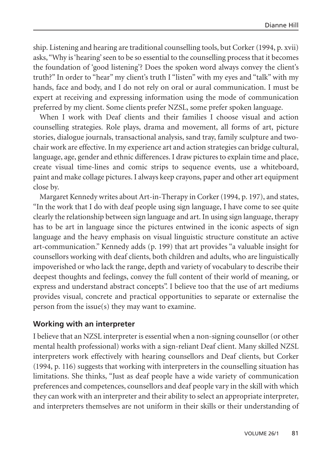ship. Listening and hearing are traditional counselling tools, but Corker (1994, p. xvii) asks, "Why is 'hearing' seen to be so essential to the counselling process that it becomes the foundation of 'good listening'? Does the spoken word always convey the client's truth?" In order to "hear" my client's truth I "listen" with my eyes and "talk" with my hands, face and body, and I do not rely on oral or aural communication. I must be expert at receiving and expressing information using the mode of communication preferred by my client. Some clients prefer NZSL, some prefer spoken language.

When I work with Deaf clients and their families I choose visual and action counselling strategies. Role plays, drama and movement, all forms of art, picture stories, dialogue journals, transactional analysis, sand tray, family sculpture and twochair work are effective. In my experience art and action strategies can bridge cultural, language, age, gender and ethnic differences. I draw pictures to explain time and place, create visual time-lines and comic strips to sequence events, use a whiteboard, paint and make collage pictures. I always keep crayons, paper and other art equipment close by.

Margaret Kennedy writes about Art-in-Therapy in Corker (1994, p. 197), and states, "In the work that I do with deaf people using sign language, I have come to see quite clearly the relationship between sign language and art. In using sign language, therapy has to be art in language since the pictures entwined in the iconic aspects of sign language and the heavy emphasis on visual linguistic structure constitute an active art-communication." Kennedy adds (p. 199) that art provides "a valuable insight for counsellors working with deaf clients, both children and adults, who are linguistically impoverished or who lack the range, depth and variety of vocabulary to describe their deepest thoughts and feelings, convey the full content of their world of meaning, or express and understand abstract concepts". I believe too that the use of art mediums provides visual, concrete and practical opportunities to separate or externalise the person from the issue(s) they may want to examine.

### **Working with an interpreter**

I believe that an NZSL interpreter is essential when a non-signing counsellor (or other mental health professional) works with a sign-reliant Deaf client. Many skilled NZSL interpreters work effectively with hearing counsellors and Deaf clients, but Corker (1994, p. 116) suggests that working with interpreters in the counselling situation has limitations. She thinks, "Just as deaf people have a wide variety of communication preferences and competences, counsellors and deaf people vary in the skill with which they can work with an interpreter and their ability to select an appropriate interpreter, and interpreters themselves are not uniform in their skills or their understanding of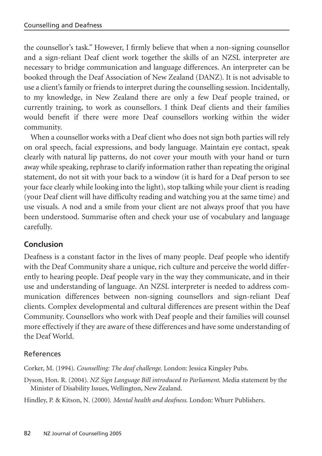the counsellor's task." However, I firmly believe that when a non-signing counsellor and a sign-reliant Deaf client work together the skills of an NZSL interpreter are necessary to bridge communication and language differences. An interpreter can be booked through the Deaf Association of New Zealand (DANZ). It is not advisable to use a client's family or friends to interpret during the counselling session. Incidentally, to my knowledge, in New Zealand there are only a few Deaf people trained, or currently training, to work as counsellors. I think Deaf clients and their families would benefit if there were more Deaf counsellors working within the wider community.

When a counsellor works with a Deaf client who does not sign both parties will rely on oral speech, facial expressions, and body language. Maintain eye contact, speak clearly with natural lip patterns, do not cover your mouth with your hand or turn away while speaking, rephrase to clarify information rather than repeating the original statement, do not sit with your back to a window (it is hard for a Deaf person to see your face clearly while looking into the light), stop talking while your client is reading (your Deaf client will have difficulty reading and watching you at the same time) and use visuals. A nod and a smile from your client are not always proof that you have been understood. Summarise often and check your use of vocabulary and language carefully.

# **Conclusion**

Deafness is a constant factor in the lives of many people. Deaf people who identify with the Deaf Community share a unique, rich culture and perceive the world differently to hearing people. Deaf people vary in the way they communicate, and in their use and understanding of language. An NZSL interpreter is needed to address communication differences between non-signing counsellors and sign-reliant Deaf clients. Complex developmental and cultural differences are present within the Deaf Community. Counsellors who work with Deaf people and their families will counsel more effectively if they are aware of these differences and have some understanding of the Deaf World.

### References

Corker, M. (1994). *Counselling: The deaf challenge*. London: Jessica Kingsley Pubs.

Dyson, Hon. R. (2004). *NZ Sign Language Bill introduced to Parliament*. Media statement by the Minister of Disability Issues, Wellington, New Zealand.

Hindley, P. & Kitson, N. (2000). *Mental health and deafness*. London: Whurr Publishers.